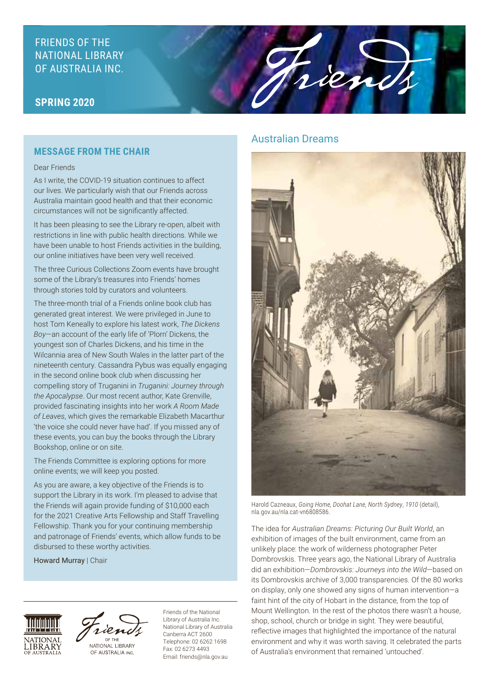# FRIENDS OF THE NATIONAL LIBRARY OF AUSTRALIA INC.

## **SPRING 2020**

#### **MESSAGE FROM THE CHAIR**

#### Dear Friends

As I write, the COVID-19 situation continues to affect our lives. We particularly wish that our Friends across Australia maintain good health and that their economic circumstances will not be significantly affected.

It has been pleasing to see the Library re-open, albeit with restrictions in line with public health directions. While we have been unable to host Friends activities in the building, our online initiatives have been very well received.

The three Curious Collections Zoom events have brought some of the Library's treasures into Friends' homes through stories told by curators and volunteers.

The three-month trial of a Friends online book club has generated great interest. We were privileged in June to host Tom Keneally to explore his latest work, *The Dickens Boy*—an account of the early life of 'Plorn' Dickens, the youngest son of Charles Dickens, and his time in the Wilcannia area of New South Wales in the latter part of the nineteenth century. Cassandra Pybus was equally engaging in the second online book club when discussing her compelling story of Truganini in *Truganini: Journey through the Apocalypse*. Our most recent author, Kate Grenville, provided fascinating insights into her work *A Room Made of Leaves*, which gives the remarkable Elizabeth Macarthur 'the voice she could never have had'. If you missed any of these events, you can buy the books through the Library Bookshop, online or on site.

The Friends Committee is exploring options for more online events; we will keep you posted.

As you are aware, a key objective of the Friends is to support the Library in its work. I'm pleased to advise that the Friends will again provide funding of \$10,000 each for the 2021 Creative Arts Fellowship and Staff Travelling Fellowship. Thank you for your continuing membership and patronage of Friends' events, which allow funds to be disbursed to these worthy activities.

Howard Murray | Chair





NATIONAL LIBRARY OF AUSTRALIA INC.

Friends of the National Library of Australia Inc. National Library of Australia Canberra ACT 2600 Telephone: 02 6262 1698 Fax: 02 6273 4493 Email: friends@nla.gov.au

### Australian Dreams

rien



Harold Cazneaux, *Going Home, Doohat Lane, North Sydney*, *1910* (detail), nla.gov.au/nla.cat-vn6808586.

The idea for *Australian Dreams: Picturing Our Built World*, an exhibition of images of the built environment, came from an unlikely place: the work of wilderness photographer Peter Dombrovskis. Three years ago, the National Library of Australia did an exhibition—*Dombrovskis: Journeys into the Wild*—based on its Dombrovskis archive of 3,000 transparencies. Of the 80 works on display, only one showed any signs of human intervention—a faint hint of the city of Hobart in the distance, from the top of Mount Wellington. In the rest of the photos there wasn't a house, shop, school, church or bridge in sight. They were beautiful, reflective images that highlighted the importance of the natural environment and why it was worth saving. It celebrated the parts of Australia's environment that remained 'untouched'.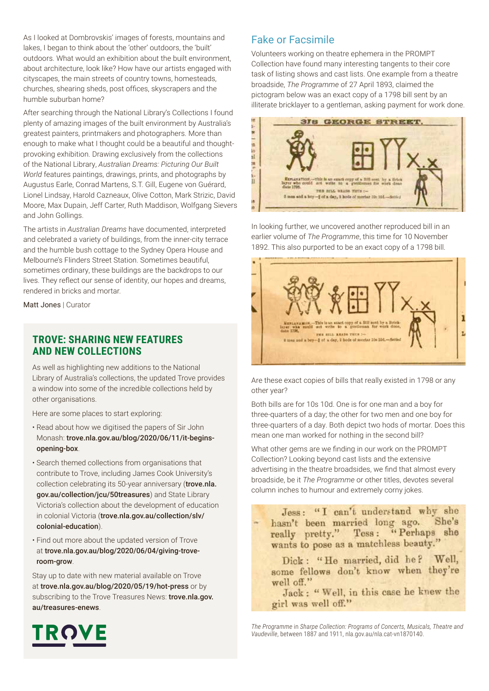As I looked at Dombrovskis' images of forests, mountains and lakes, I began to think about the 'other' outdoors, the 'built' outdoors. What would an exhibition about the built environment, about architecture, look like? How have our artists engaged with cityscapes, the main streets of country towns, homesteads, churches, shearing sheds, post offices, skyscrapers and the humble suburban home?

After searching through the National Library's Collections I found plenty of amazing images of the built environment by Australia's greatest painters, printmakers and photographers. More than enough to make what I thought could be a beautiful and thoughtprovoking exhibition. Drawing exclusively from the collections of the National Library, *Australian Dreams: Picturing Our Built World* features paintings, drawings, prints, and photographs by Augustus Earle, Conrad Martens, S.T. Gill, Eugene von Guérard, Lionel Lindsay, Harold Cazneaux, Olive Cotton, Mark Strizic, David Moore, Max Dupain, Jeff Carter, Ruth Maddison, Wolfgang Sievers and John Gollings.

The artists in *Australian Dreams* have documented, interpreted and celebrated a variety of buildings, from the inner-city terrace and the humble bush cottage to the Sydney Opera House and Melbourne's Flinders Street Station. Sometimes beautiful, sometimes ordinary, these buildings are the backdrops to our lives. They reflect our sense of identity, our hopes and dreams, rendered in bricks and mortar.

Matt Jones | Curator

### **TROVE: SHARING NEW FEATURES AND NEW COLLECTIONS**

As well as highlighting new additions to the National Library of Australia's collections, the updated Trove provides a window into some of the incredible collections held by other organisations.

Here are some places to start exploring:

- Read about how we digitised the papers of Sir John Monash: trove.nla.gov.au/blog/2020/06/11/it-beginsopening-box.
- Search themed collections from organisations that contribute to Trove, including James Cook University's collection celebrating its 50-year anniversary (trove.nla. gov.au/collection/jcu/50treasures) and State Library Victoria's collection about the development of education in colonial Victoria (trove.nla.gov.au/collection/slv/ colonial-education).
- Find out more about the updated version of Trove at trove.nla.gov.au/blog/2020/06/04/giving-troveroom-grow.

Stay up to date with new material available on Trove at trove.nla.gov.au/blog/2020/05/19/hot-press or by subscribing to the Trove Treasures News: trove.nla.gov. au/treasures-enews.

### Fake or Facsimile

Volunteers working on theatre ephemera in the PROMPT Collection have found many interesting tangents to their core task of listing shows and cast lists. One example from a theatre broadside, *The Programme* of 27 April 1893, claimed the pictogram below was an exact copy of a 1798 bill sent by an illiterate bricklayer to a gentleman, asking payment for work done.



In looking further, we uncovered another reproduced bill in an earlier volume of *The Programme*, this time for 10 November 1892. This also purported to be an exact copy of a 1798 bill.



Are these exact copies of bills that really existed in 1798 or any other year?

Both bills are for 10s 10d. One is for one man and a boy for three-quarters of a day; the other for two men and one boy for three-quarters of a day. Both depict two hods of mortar. Does this mean one man worked for nothing in the second bill?

What other gems are we finding in our work on the PROMPT Collection? Looking beyond cast lists and the extensive advertising in the theatre broadsides, we find that almost every broadside, be it *The Programme* or other titles, devotes several column inches to humour and extremely corny jokes.

Jess: "I can't understand why she She's hasn't been married long ago. really pretty." Tess: "Perhaps she wants to pose as a matchless beauty."

Dick: "He married, did he? Well, some fellows don't know when they're well off."

Jack: "Well, in this case he knew the girl was well off."

*The Programme* in *Sharpe Collection: Programs of Concerts, Musicals, Theatre and Vaudeville*, between 1887 and 1911, nla.gov.au/nla.cat-vn1870140.

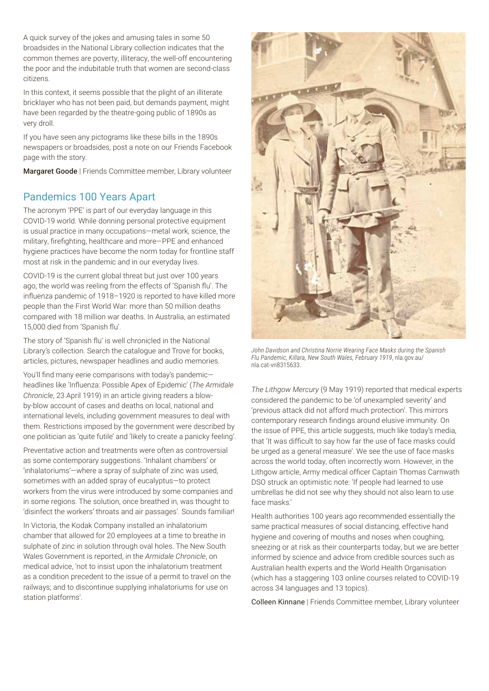A quick survey of the jokes and amusing tales in some 50 broadsides in the National Library collection indicates that the common themes are poverty, illiteracy, the well-off encountering the poor and the indubitable truth that women are second-class citizens.

In this context, it seems possible that the plight of an illiterate bricklayer who has not been paid, but demands payment, might have been regarded by the theatre-going public of 1890s as very droll.

If you have seen any pictograms like these bills in the 1890s newspapers or broadsides, post a note on our Friends Facebook page with the story.

Margaret Goode | Friends Committee member, Library volunteer

# Pandemics 100 Years Apart

The acronym 'PPE' is part of our everyday language in this COVID-19 world. While donning personal protective equipment is usual practice in many occupations—metal work, science, the military, firefighting, healthcare and more—PPE and enhanced hygiene practices have become the norm today for frontline staff most at risk in the pandemic and in our everyday lives.

COVID-19 is the current global threat but just over 100 years ago, the world was reeling from the effects of 'Spanish flu'. The influenza pandemic of 1918–1920 is reported to have killed more people than the First World War: more than 50 million deaths compared with 18 million war deaths. In Australia, an estimated 15,000 died from 'Spanish flu'.

The story of 'Spanish flu' is well chronicled in the National Library's collection. Search the catalogue and Trove for books, articles, pictures, newspaper headlines and audio memories.

You'll find many eerie comparisons with today's pandemic headlines like 'Influenza: Possible Apex of Epidemic' (*The Armidale Chronicle*, 23 April 1919) in an article giving readers a blowby-blow account of cases and deaths on local, national and international levels, including government measures to deal with them. Restrictions imposed by the government were described by one politician as 'quite futile' and 'likely to create a panicky feeling'.

Preventative action and treatments were often as controversial as some contemporary suggestions. 'Inhalant chambers' or 'inhalatoriums'—where a spray of sulphate of zinc was used, sometimes with an added spray of eucalyptus—to protect workers from the virus were introduced by some companies and in some regions. The solution, once breathed in, was thought to 'disinfect the workers' throats and air passages'. Sounds familiar!

In Victoria, the Kodak Company installed an inhalatorium chamber that allowed for 20 employees at a time to breathe in sulphate of zinc in solution through oval holes. The New South Wales Government is reported, in the *Armidale Chronicle*, on medical advice, 'not to insist upon the inhalatorium treatment as a condition precedent to the issue of a permit to travel on the railways; and to discontinue supplying inhalatoriums for use on station platforms'.



*John Davidson and Christina Norrie Wearing Face Masks during the Spanish Flu Pandemic, Killara, New South Wales, February 1919*, nla.gov.au/ nla.cat-vn8315633.

*The Lithgow Mercury* (9 May 1919) reported that medical experts considered the pandemic to be 'of unexampled severity' and 'previous attack did not afford much protection'. This mirrors contemporary research findings around elusive immunity. On the issue of PPE, this article suggests, much like today's media, that 'It was difficult to say how far the use of face masks could be urged as a general measure'. We see the use of face masks across the world today, often incorrectly worn. However, in the Lithgow article, Army medical officer Captain Thomas Carnwath DSO struck an optimistic note: 'If people had learned to use umbrellas he did not see why they should not also learn to use face masks.'

Health authorities 100 years ago recommended essentially the same practical measures of social distancing, effective hand hygiene and covering of mouths and noses when coughing, sneezing or at risk as their counterparts today, but we are better informed by science and advice from credible sources such as Australian health experts and the World Health Organisation (which has a staggering 103 online courses related to COVID-19 across 34 languages and 13 topics).

Colleen Kinnane | Friends Committee member, Library volunteer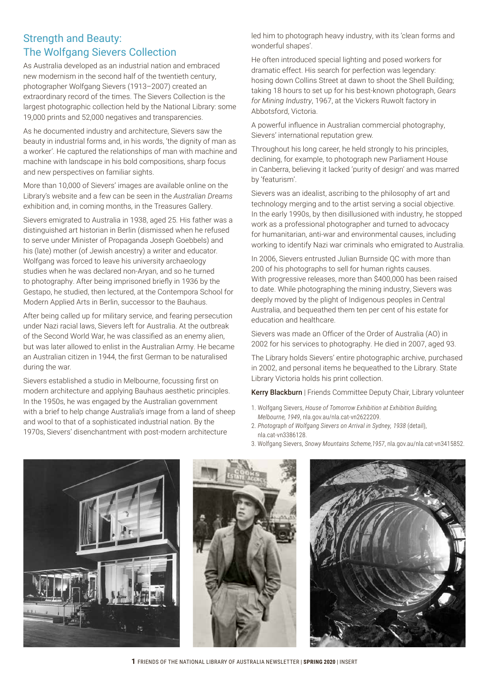# Strength and Beauty: The Wolfgang Sievers Collection

As Australia developed as an industrial nation and embraced new modernism in the second half of the twentieth century, photographer Wolfgang Sievers (1913–2007) created an extraordinary record of the times. The Sievers Collection is the largest photographic collection held by the National Library: some 19,000 prints and 52,000 negatives and transparencies.

As he documented industry and architecture, Sievers saw the beauty in industrial forms and, in his words, 'the dignity of man as a worker'. He captured the relationships of man with machine and machine with landscape in his bold compositions, sharp focus and new perspectives on familiar sights.

More than 10,000 of Sievers' images are available online on the Library's website and a few can be seen in the *Australian Dreams* exhibition and, in coming months, in the Treasures Gallery.

Sievers emigrated to Australia in 1938, aged 25. His father was a distinguished art historian in Berlin (dismissed when he refused to serve under Minister of Propaganda Joseph Goebbels) and his (late) mother (of Jewish ancestry) a writer and educator. Wolfgang was forced to leave his university archaeology studies when he was declared non-Aryan, and so he turned to photography. After being imprisoned briefly in 1936 by the Gestapo, he studied, then lectured, at the Contempora School for Modern Applied Arts in Berlin, successor to the Bauhaus.

After being called up for military service, and fearing persecution under Nazi racial laws, Sievers left for Australia. At the outbreak of the Second World War, he was classified as an enemy alien, but was later allowed to enlist in the Australian Army. He became an Australian citizen in 1944, the first German to be naturalised during the war.

Sievers established a studio in Melbourne, focussing first on modern architecture and applying Bauhaus aesthetic principles. In the 1950s, he was engaged by the Australian government with a brief to help change Australia's image from a land of sheep and wool to that of a sophisticated industrial nation. By the 1970s, Sievers' disenchantment with post-modern architecture

led him to photograph heavy industry, with its 'clean forms and wonderful shapes'.

He often introduced special lighting and posed workers for dramatic effect. His search for perfection was legendary: hosing down Collins Street at dawn to shoot the Shell Building; taking 18 hours to set up for his best-known photograph, *Gears for Mining Industry*, 1967, at the Vickers Ruwolt factory in Abbotsford, Victoria.

A powerful influence in Australian commercial photography, Sievers' international reputation grew.

Throughout his long career, he held strongly to his principles, declining, for example, to photograph new Parliament House in Canberra, believing it lacked 'purity of design' and was marred by 'featurism'.

Sievers was an idealist, ascribing to the philosophy of art and technology merging and to the artist serving a social objective. In the early 1990s, by then disillusioned with industry, he stopped work as a professional photographer and turned to advocacy for humanitarian, anti-war and environmental causes, including working to identify Nazi war criminals who emigrated to Australia.

In 2006, Sievers entrusted Julian Burnside QC with more than 200 of his photographs to sell for human rights causes. With progressive releases, more than \$400,000 has been raised to date. While photographing the mining industry, Sievers was deeply moved by the plight of Indigenous peoples in Central Australia, and bequeathed them ten per cent of his estate for education and healthcare.

Sievers was made an Officer of the Order of Australia (AO) in 2002 for his services to photography. He died in 2007, aged 93.

The Library holds Sievers' entire photographic archive, purchased in 2002, and personal items he bequeathed to the Library. State Library Victoria holds his print collection.

Kerry Blackburn | Friends Committee Deputy Chair, Library volunteer

- 1. Wolfgang Sievers, *House of Tomorrow Exhibition at Exhibition Building, Melbourne, 1949*, nla.gov.au/nla.cat-vn2622209.
- 2. *Photograph of Wolfgang Sievers on Arrival in Sydney, 1938* (detail), nla.cat-vn3386128.
- 3. Wolfgang Sievers, *Snowy Mountains Scheme,1957*, nla.gov.au/nla.cat-vn3415852.



**1** FRIENDS OF THE NATIONAL LIBRARY OF AUSTRALIA NEWSLETTER | **SPRING 2020** | INSERT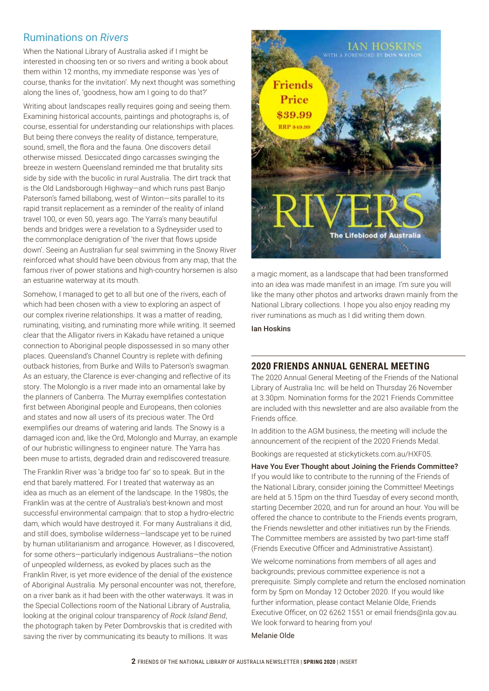# Ruminations on *Rivers*

When the National Library of Australia asked if I might be interested in choosing ten or so rivers and writing a book about them within 12 months, my immediate response was 'yes of course, thanks for the invitation'. My next thought was something along the lines of, 'goodness, how am I going to do that?'

Writing about landscapes really requires going and seeing them. Examining historical accounts, paintings and photographs is, of course, essential for understanding our relationships with places. But being there conveys the reality of distance, temperature, sound, smell, the flora and the fauna. One discovers detail otherwise missed. Desiccated dingo carcasses swinging the breeze in western Queensland reminded me that brutality sits side by side with the bucolic in rural Australia. The dirt track that is the Old Landsborough Highway—and which runs past Banjo Paterson's famed billabong, west of Winton—sits parallel to its rapid transit replacement as a reminder of the reality of inland travel 100, or even 50, years ago. The Yarra's many beautiful bends and bridges were a revelation to a Sydneysider used to the commonplace denigration of 'the river that flows upside down'. Seeing an Australian fur seal swimming in the Snowy River reinforced what should have been obvious from any map, that the famous river of power stations and high-country horsemen is also an estuarine waterway at its mouth.

Somehow, I managed to get to all but one of the rivers, each of which had been chosen with a view to exploring an aspect of our complex riverine relationships. It was a matter of reading, ruminating, visiting, and ruminating more while writing. It seemed clear that the Alligator rivers in Kakadu have retained a unique connection to Aboriginal people dispossessed in so many other places. Queensland's Channel Country is replete with defining outback histories, from Burke and Wills to Paterson's swagman. As an estuary, the Clarence is ever-changing and reflective of its story. The Molonglo is a river made into an ornamental lake by the planners of Canberra. The Murray exemplifies contestation first between Aboriginal people and Europeans, then colonies and states and now all users of its precious water. The Ord exemplifies our dreams of watering arid lands. The Snowy is a damaged icon and, like the Ord, Molonglo and Murray, an example of our hubristic willingness to engineer nature. The Yarra has been muse to artists, degraded drain and rediscovered treasure.

The Franklin River was 'a bridge too far' so to speak. But in the end that barely mattered. For I treated that waterway as an idea as much as an element of the landscape. In the 1980s, the Franklin was at the centre of Australia's best-known and most successful environmental campaign: that to stop a hydro-electric dam, which would have destroyed it. For many Australians it did, and still does, symbolise wilderness—landscape yet to be ruined by human utilitarianism and arrogance. However, as I discovered, for some others—particularly indigenous Australians—the notion of unpeopled wilderness, as evoked by places such as the Franklin River, is yet more evidence of the denial of the existence of Aboriginal Australia. My personal encounter was not, therefore, on a river bank as it had been with the other waterways. It was in the Special Collections room of the National Library of Australia, looking at the original colour transparency of *Rock Island Bend*, the photograph taken by Peter Dombrovskis that is credited with saving the river by communicating its beauty to millions. It was



a magic moment, as a landscape that had been transformed into an idea was made manifest in an image. I'm sure you will like the many other photos and artworks drawn mainly from the National Library collections. I hope you also enjoy reading my river ruminations as much as I did writing them down.

Ian Hoskins

#### **2020 FRIENDS ANNUAL GENERAL MEETING**

The 2020 Annual General Meeting of the Friends of the National Library of Australia Inc. will be held on Thursday 26 November at 3.30pm. Nomination forms for the 2021 Friends Committee are included with this newsletter and are also available from the Friends office.

In addition to the AGM business, the meeting will include the announcement of the recipient of the 2020 Friends Medal. Bookings are requested at stickytickets.com.au/HXF05.

Have You Ever Thought about Joining the Friends Committee? If you would like to contribute to the running of the Friends of the National Library, consider joining the Committee! Meetings are held at 5.15pm on the third Tuesday of every second month, starting December 2020, and run for around an hour. You will be offered the chance to contribute to the Friends events program, the Friends newsletter and other initiatives run by the Friends. The Committee members are assisted by two part-time staff (Friends Executive Officer and Administrative Assistant).

We welcome nominations from members of all ages and backgrounds; previous committee experience is not a prerequisite. Simply complete and return the enclosed nomination form by 5pm on Monday 12 October 2020. If you would like further information, please contact Melanie Olde, Friends Executive Officer, on 02 6262 1551 or email friends@nla.gov.au. We look forward to hearing from you!

#### Melanie Olde